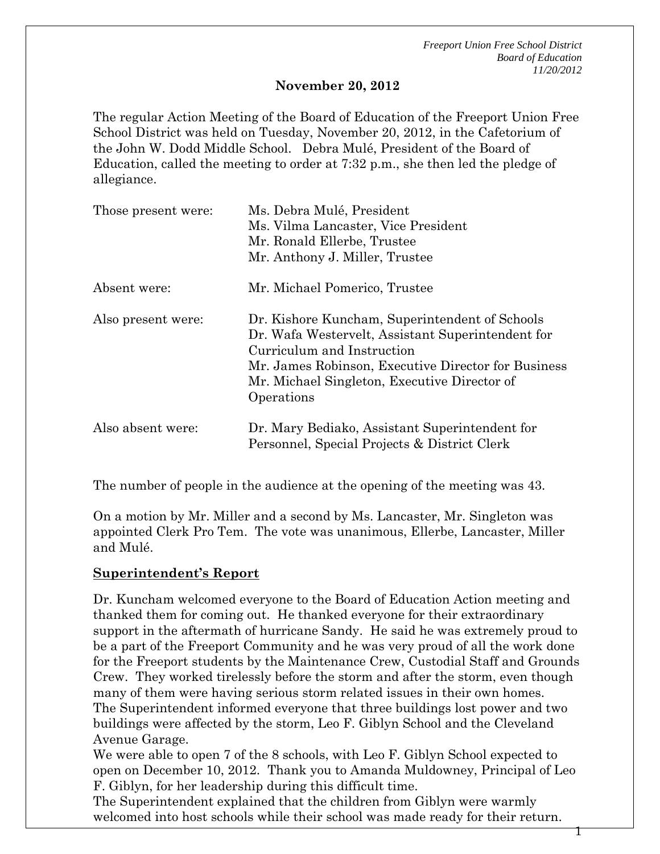*Freeport Union Free School District Board of Education 11/20/2012* 

1

#### **November 20, 2012**

The regular Action Meeting of the Board of Education of the Freeport Union Free School District was held on Tuesday, November 20, 2012, in the Cafetorium of the John W. Dodd Middle School. Debra Mulé, President of the Board of Education, called the meeting to order at 7:32 p.m., she then led the pledge of allegiance.

| Those present were: | Ms. Debra Mulé, President<br>Ms. Vilma Lancaster, Vice President<br>Mr. Ronald Ellerbe, Trustee<br>Mr. Anthony J. Miller, Trustee                                                                                                                      |
|---------------------|--------------------------------------------------------------------------------------------------------------------------------------------------------------------------------------------------------------------------------------------------------|
| Absent were:        | Mr. Michael Pomerico, Trustee                                                                                                                                                                                                                          |
| Also present were:  | Dr. Kishore Kuncham, Superintendent of Schools<br>Dr. Wafa Westervelt, Assistant Superintendent for<br>Curriculum and Instruction<br>Mr. James Robinson, Executive Director for Business<br>Mr. Michael Singleton, Executive Director of<br>Operations |
| Also absent were:   | Dr. Mary Bediako, Assistant Superintendent for<br>Personnel, Special Projects & District Clerk                                                                                                                                                         |

The number of people in the audience at the opening of the meeting was 43.

On a motion by Mr. Miller and a second by Ms. Lancaster, Mr. Singleton was appointed Clerk Pro Tem. The vote was unanimous, Ellerbe, Lancaster, Miller and Mulé.

### **Superintendent's Report**

Dr. Kuncham welcomed everyone to the Board of Education Action meeting and thanked them for coming out. He thanked everyone for their extraordinary support in the aftermath of hurricane Sandy. He said he was extremely proud to be a part of the Freeport Community and he was very proud of all the work done for the Freeport students by the Maintenance Crew, Custodial Staff and Grounds Crew. They worked tirelessly before the storm and after the storm, even though many of them were having serious storm related issues in their own homes. The Superintendent informed everyone that three buildings lost power and two buildings were affected by the storm, Leo F. Giblyn School and the Cleveland Avenue Garage.

We were able to open 7 of the 8 schools, with Leo F. Giblyn School expected to open on December 10, 2012. Thank you to Amanda Muldowney, Principal of Leo F. Giblyn, for her leadership during this difficult time.

The Superintendent explained that the children from Giblyn were warmly welcomed into host schools while their school was made ready for their return.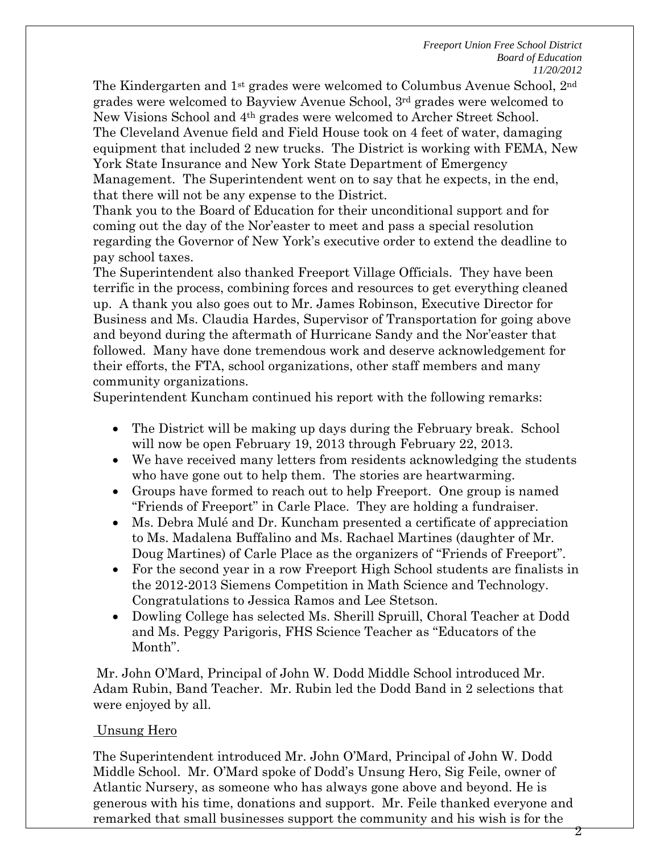The Kindergarten and 1<sup>st</sup> grades were welcomed to Columbus Avenue School, 2<sup>nd</sup> grades were welcomed to Bayview Avenue School, 3rd grades were welcomed to New Visions School and 4th grades were welcomed to Archer Street School. The Cleveland Avenue field and Field House took on 4 feet of water, damaging equipment that included 2 new trucks. The District is working with FEMA, New York State Insurance and New York State Department of Emergency Management. The Superintendent went on to say that he expects, in the end, that there will not be any expense to the District.

Thank you to the Board of Education for their unconditional support and for coming out the day of the Nor'easter to meet and pass a special resolution regarding the Governor of New York's executive order to extend the deadline to pay school taxes.

The Superintendent also thanked Freeport Village Officials. They have been terrific in the process, combining forces and resources to get everything cleaned up. A thank you also goes out to Mr. James Robinson, Executive Director for Business and Ms. Claudia Hardes, Supervisor of Transportation for going above and beyond during the aftermath of Hurricane Sandy and the Nor'easter that followed. Many have done tremendous work and deserve acknowledgement for their efforts, the FTA, school organizations, other staff members and many community organizations.

Superintendent Kuncham continued his report with the following remarks:

- The District will be making up days during the February break. School will now be open February 19, 2013 through February 22, 2013.
- We have received many letters from residents acknowledging the students who have gone out to help them. The stories are heartwarming.
- Groups have formed to reach out to help Freeport. One group is named "Friends of Freeport" in Carle Place. They are holding a fundraiser.
- Ms. Debra Mulé and Dr. Kuncham presented a certificate of appreciation to Ms. Madalena Buffalino and Ms. Rachael Martines (daughter of Mr. Doug Martines) of Carle Place as the organizers of "Friends of Freeport".
- For the second year in a row Freeport High School students are finalists in the 2012-2013 Siemens Competition in Math Science and Technology. Congratulations to Jessica Ramos and Lee Stetson.
- Dowling College has selected Ms. Sherill Spruill, Choral Teacher at Dodd and Ms. Peggy Parigoris, FHS Science Teacher as "Educators of the Month".

 Mr. John O'Mard, Principal of John W. Dodd Middle School introduced Mr. Adam Rubin, Band Teacher. Mr. Rubin led the Dodd Band in 2 selections that were enjoyed by all.

## Unsung Hero

The Superintendent introduced Mr. John O'Mard, Principal of John W. Dodd Middle School. Mr. O'Mard spoke of Dodd's Unsung Hero, Sig Feile, owner of Atlantic Nursery, as someone who has always gone above and beyond. He is generous with his time, donations and support. Mr. Feile thanked everyone and remarked that small businesses support the community and his wish is for the

2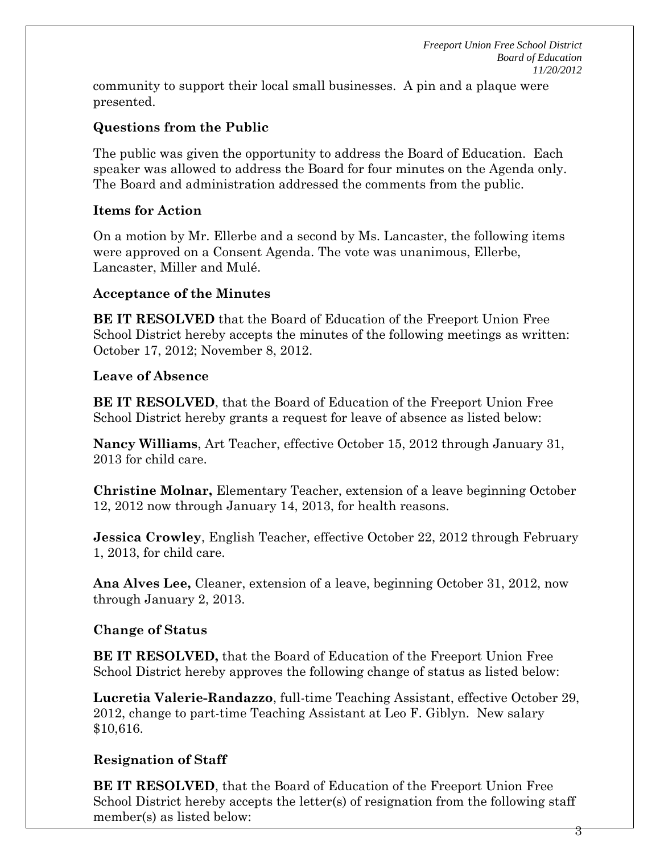community to support their local small businesses. A pin and a plaque were presented.

## **Questions from the Public**

The public was given the opportunity to address the Board of Education. Each speaker was allowed to address the Board for four minutes on the Agenda only. The Board and administration addressed the comments from the public.

## **Items for Action**

On a motion by Mr. Ellerbe and a second by Ms. Lancaster, the following items were approved on a Consent Agenda. The vote was unanimous, Ellerbe, Lancaster, Miller and Mulé.

## **Acceptance of the Minutes**

**BE IT RESOLVED** that the Board of Education of the Freeport Union Free School District hereby accepts the minutes of the following meetings as written: October 17, 2012; November 8, 2012.

## **Leave of Absence**

**BE IT RESOLVED**, that the Board of Education of the Freeport Union Free School District hereby grants a request for leave of absence as listed below:

**Nancy Williams**, Art Teacher, effective October 15, 2012 through January 31, 2013 for child care.

**Christine Molnar,** Elementary Teacher, extension of a leave beginning October 12, 2012 now through January 14, 2013, for health reasons.

**Jessica Crowley**, English Teacher, effective October 22, 2012 through February 1, 2013, for child care.

**Ana Alves Lee,** Cleaner, extension of a leave, beginning October 31, 2012, now through January 2, 2013.

## **Change of Status**

**BE IT RESOLVED,** that the Board of Education of the Freeport Union Free School District hereby approves the following change of status as listed below:

**Lucretia Valerie-Randazzo**, full-time Teaching Assistant, effective October 29, 2012, change to part-time Teaching Assistant at Leo F. Giblyn. New salary \$10,616.

# **Resignation of Staff**

**BE IT RESOLVED**, that the Board of Education of the Freeport Union Free School District hereby accepts the letter(s) of resignation from the following staff member(s) as listed below:

3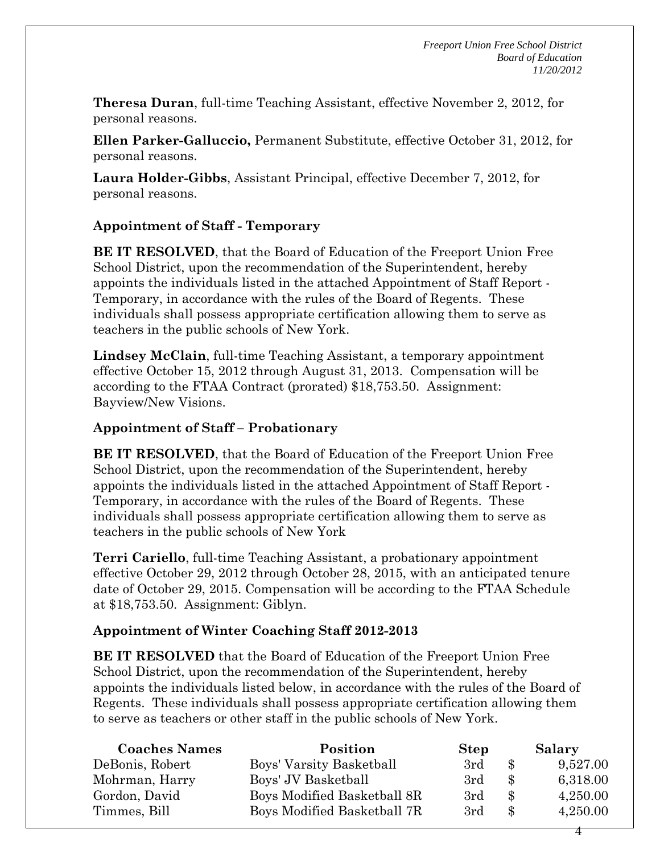**Theresa Duran**, full-time Teaching Assistant, effective November 2, 2012, for personal reasons.

**Ellen Parker-Galluccio,** Permanent Substitute, effective October 31, 2012, for personal reasons.

**Laura Holder-Gibbs**, Assistant Principal, effective December 7, 2012, for personal reasons.

## **Appointment of Staff - Temporary**

**BE IT RESOLVED**, that the Board of Education of the Freeport Union Free School District, upon the recommendation of the Superintendent, hereby appoints the individuals listed in the attached Appointment of Staff Report - Temporary, in accordance with the rules of the Board of Regents. These individuals shall possess appropriate certification allowing them to serve as teachers in the public schools of New York.

**Lindsey McClain**, full-time Teaching Assistant, a temporary appointment effective October 15, 2012 through August 31, 2013. Compensation will be according to the FTAA Contract (prorated) \$18,753.50. Assignment: Bayview/New Visions.

### **Appointment of Staff – Probationary**

**BE IT RESOLVED**, that the Board of Education of the Freeport Union Free School District, upon the recommendation of the Superintendent, hereby appoints the individuals listed in the attached Appointment of Staff Report - Temporary, in accordance with the rules of the Board of Regents. These individuals shall possess appropriate certification allowing them to serve as teachers in the public schools of New York

**Terri Cariello**, full-time Teaching Assistant, a probationary appointment effective October 29, 2012 through October 28, 2015, with an anticipated tenure date of October 29, 2015. Compensation will be according to the FTAA Schedule at \$18,753.50. Assignment: Giblyn.

## **Appointment of Winter Coaching Staff 2012-2013**

**BE IT RESOLVED** that the Board of Education of the Freeport Union Free School District, upon the recommendation of the Superintendent, hereby appoints the individuals listed below, in accordance with the rules of the Board of Regents. These individuals shall possess appropriate certification allowing them to serve as teachers or other staff in the public schools of New York.

| <b>Coaches Names</b> | Position                    | <b>Step</b> |                | Salary   |
|----------------------|-----------------------------|-------------|----------------|----------|
| DeBonis, Robert      | Boys' Varsity Basketball    | 3rd         | $\mathcal{S}$  | 9,527.00 |
| Mohrman, Harry       | Boys' JV Basketball         | 3rd         | $\mathcal{S}$  | 6,318.00 |
| Gordon, David        | Boys Modified Basketball 8R | 3rd         | -S             | 4,250.00 |
| Timmes, Bill         | Boys Modified Basketball 7R | 3rd         | $\mathbf{\Re}$ | 4,250.00 |

4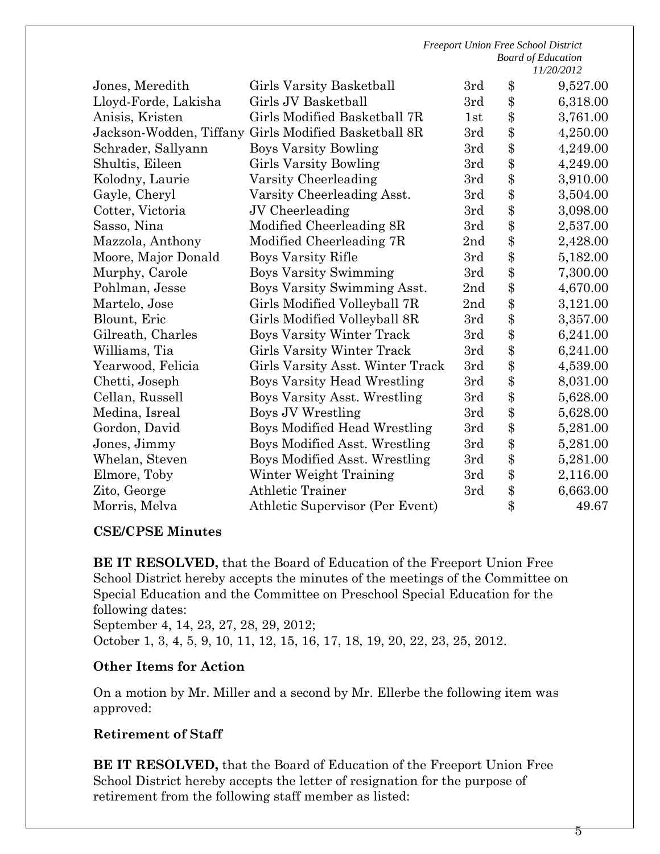|                         | <b>Freeport Union Free School District</b> |                           |       |            |
|-------------------------|--------------------------------------------|---------------------------|-------|------------|
|                         |                                            | <b>Board of Education</b> |       |            |
|                         |                                            |                           |       | 11/20/2012 |
| Jones, Meredith         | Girls Varsity Basketball                   | 3rd<br>3rd                | \$    | 9,527.00   |
| Lloyd-Forde, Lakisha    | Girls JV Basketball                        |                           | \$    | 6,318.00   |
| Anisis, Kristen         | Girls Modified Basketball 7R               | 1st                       | \$    | 3,761.00   |
| Jackson-Wodden, Tiffany | Girls Modified Basketball 8R               |                           | \$    | 4,250.00   |
| Schrader, Sallyann      | <b>Boys Varsity Bowling</b>                |                           | \$    | 4,249.00   |
| Shultis, Eileen         | <b>Girls Varsity Bowling</b>               | 3rd                       | \$    | 4,249.00   |
| Kolodny, Laurie         | Varsity Cheerleading                       | 3rd                       | \$    | 3,910.00   |
| Gayle, Cheryl           | Varsity Cheerleading Asst.                 | 3rd                       | \$    | 3,504.00   |
| Cotter, Victoria        | JV Cheerleading                            | 3rd                       | \$    | 3,098.00   |
| Sasso, Nina             | Modified Cheerleading 8R                   | 3rd                       | \$    | 2,537.00   |
| Mazzola, Anthony        | Modified Cheerleading 7R                   | 2nd                       | \$    | 2,428.00   |
| Moore, Major Donald     | <b>Boys Varsity Rifle</b>                  | 3rd                       | \$    | 5,182.00   |
| Murphy, Carole          | <b>Boys Varsity Swimming</b>               | 3rd                       | \$    | 7,300.00   |
| Pohlman, Jesse          | Boys Varsity Swimming Asst.                | 2nd                       | \$    | 4,670.00   |
| Martelo, Jose           | Girls Modified Volleyball 7R               | 2nd                       | \$    | 3,121.00   |
| Blount, Eric            | Girls Modified Volleyball 8R               | 3rd                       | \$    | 3,357.00   |
| Gilreath, Charles       | <b>Boys Varsity Winter Track</b>           | 3rd                       | \$    | 6,241.00   |
| Williams, Tia           | Girls Varsity Winter Track                 | 3rd                       | \$    | 6,241.00   |
| Yearwood, Felicia       | Girls Varsity Asst. Winter Track           | 3rd                       | \$    | 4,539.00   |
| Chetti, Joseph          | <b>Boys Varsity Head Wrestling</b>         | 3rd                       | \$    | 8,031.00   |
| Cellan, Russell         | Boys Varsity Asst. Wrestling               | 3rd                       | \$    | 5,628.00   |
| Medina, Isreal          | Boys JV Wrestling                          | 3rd                       | \$    | 5,628.00   |
| Gordon, David           | Boys Modified Head Wrestling               | 3rd                       | \$    | 5,281.00   |
| Jones, Jimmy            | Boys Modified Asst. Wrestling              | 3rd                       | \$    | 5,281.00   |
| Whelan, Steven          | Boys Modified Asst. Wrestling              |                           | \$    | 5,281.00   |
| Elmore, Toby            | Winter Weight Training                     | 3rd                       | \$    | 2,116.00   |
| Zito, George            | <b>Athletic Trainer</b>                    | 3rd                       | \$    | 6,663.00   |
| Morris, Melva           | Athletic Supervisor (Per Event)            |                           | $\$\$ | 49.67      |

#### **CSE/CPSE Minutes**

**BE IT RESOLVED,** that the Board of Education of the Freeport Union Free School District hereby accepts the minutes of the meetings of the Committee on Special Education and the Committee on Preschool Special Education for the following dates:

September 4, 14, 23, 27, 28, 29, 2012; October 1, 3, 4, 5, 9, 10, 11, 12, 15, 16, 17, 18, 19, 20, 22, 23, 25, 2012.

#### **Other Items for Action**

On a motion by Mr. Miller and a second by Mr. Ellerbe the following item was approved:

#### **Retirement of Staff**

**BE IT RESOLVED,** that the Board of Education of the Freeport Union Free School District hereby accepts the letter of resignation for the purpose of retirement from the following staff member as listed: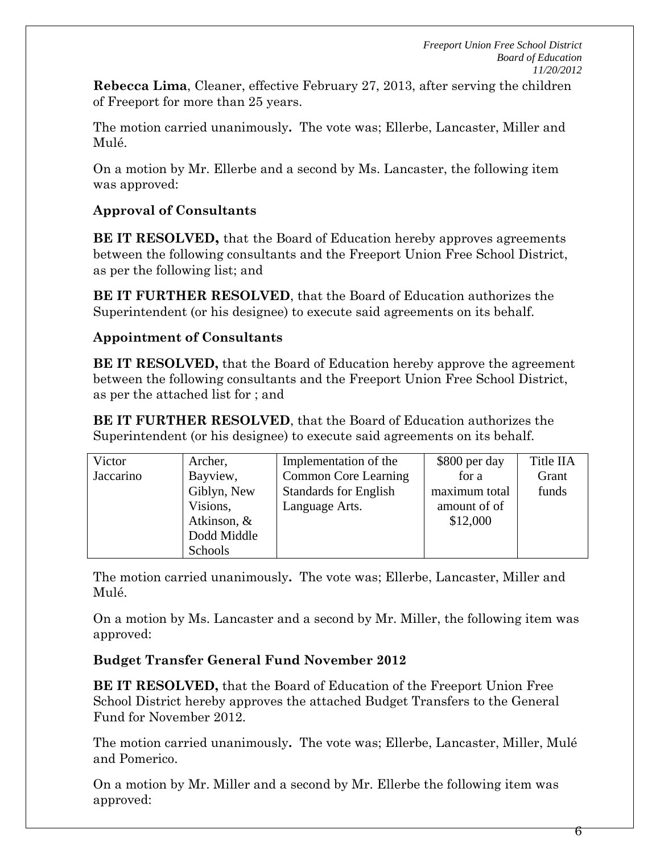**Rebecca Lima**, Cleaner, effective February 27, 2013, after serving the children of Freeport for more than 25 years.

The motion carried unanimously**.** The vote was; Ellerbe, Lancaster, Miller and Mulé.

On a motion by Mr. Ellerbe and a second by Ms. Lancaster, the following item was approved:

# **Approval of Consultants**

**BE IT RESOLVED,** that the Board of Education hereby approves agreements between the following consultants and the Freeport Union Free School District, as per the following list; and

**BE IT FURTHER RESOLVED**, that the Board of Education authorizes the Superintendent (or his designee) to execute said agreements on its behalf.

## **Appointment of Consultants**

**BE IT RESOLVED,** that the Board of Education hereby approve the agreement between the following consultants and the Freeport Union Free School District, as per the attached list for ; and

**BE IT FURTHER RESOLVED**, that the Board of Education authorizes the Superintendent (or his designee) to execute said agreements on its behalf.

| Victor    | Archer,        | Implementation of the        | \$800 per day | Title IIA |
|-----------|----------------|------------------------------|---------------|-----------|
| Jaccarino | Bayview,       | <b>Common Core Learning</b>  | for a         | Grant     |
|           | Giblyn, New    | <b>Standards for English</b> | maximum total | funds     |
|           | Visions,       | Language Arts.               | amount of of  |           |
|           | Atkinson, $\&$ |                              | \$12,000      |           |
|           | Dodd Middle    |                              |               |           |
|           | Schools        |                              |               |           |

The motion carried unanimously**.** The vote was; Ellerbe, Lancaster, Miller and Mulé.

On a motion by Ms. Lancaster and a second by Mr. Miller, the following item was approved:

# **Budget Transfer General Fund November 2012**

**BE IT RESOLVED,** that the Board of Education of the Freeport Union Free School District hereby approves the attached Budget Transfers to the General Fund for November 2012.

The motion carried unanimously**.** The vote was; Ellerbe, Lancaster, Miller, Mulé and Pomerico.

On a motion by Mr. Miller and a second by Mr. Ellerbe the following item was approved: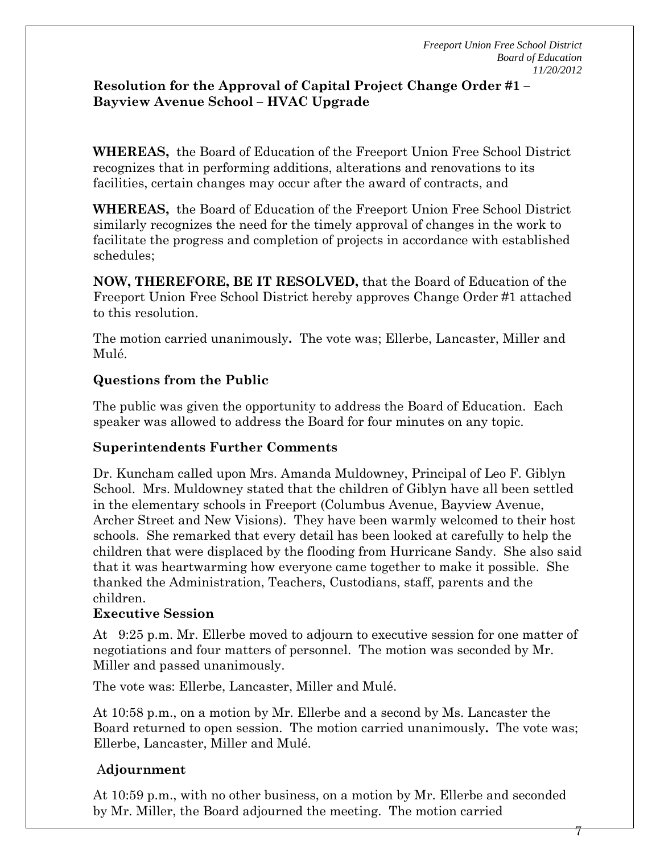$\gamma$ 

## **Resolution for the Approval of Capital Project Change Order #1 – Bayview Avenue School – HVAC Upgrade**

**WHEREAS,** the Board of Education of the Freeport Union Free School District recognizes that in performing additions, alterations and renovations to its facilities, certain changes may occur after the award of contracts, and

**WHEREAS,** the Board of Education of the Freeport Union Free School District similarly recognizes the need for the timely approval of changes in the work to facilitate the progress and completion of projects in accordance with established schedules;

**NOW, THEREFORE, BE IT RESOLVED,** that the Board of Education of the Freeport Union Free School District hereby approves Change Order #1 attached to this resolution.

The motion carried unanimously**.** The vote was; Ellerbe, Lancaster, Miller and Mulé.

## **Questions from the Public**

The public was given the opportunity to address the Board of Education. Each speaker was allowed to address the Board for four minutes on any topic.

## **Superintendents Further Comments**

Dr. Kuncham called upon Mrs. Amanda Muldowney, Principal of Leo F. Giblyn School. Mrs. Muldowney stated that the children of Giblyn have all been settled in the elementary schools in Freeport (Columbus Avenue, Bayview Avenue, Archer Street and New Visions). They have been warmly welcomed to their host schools. She remarked that every detail has been looked at carefully to help the children that were displaced by the flooding from Hurricane Sandy. She also said that it was heartwarming how everyone came together to make it possible. She thanked the Administration, Teachers, Custodians, staff, parents and the children.

### **Executive Session**

At 9:25 p.m. Mr. Ellerbe moved to adjourn to executive session for one matter of negotiations and four matters of personnel. The motion was seconded by Mr. Miller and passed unanimously.

The vote was: Ellerbe, Lancaster, Miller and Mulé.

At 10:58 p.m., on a motion by Mr. Ellerbe and a second by Ms. Lancaster the Board returned to open session. The motion carried unanimously**.** The vote was; Ellerbe, Lancaster, Miller and Mulé.

## A**djournment**

At 10:59 p.m., with no other business, on a motion by Mr. Ellerbe and seconded by Mr. Miller, the Board adjourned the meeting. The motion carried